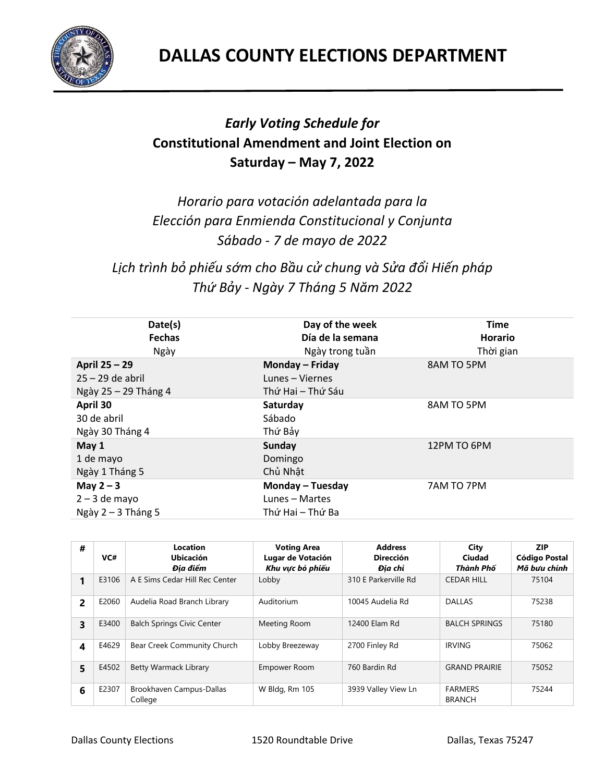

## *Early Voting Schedule for*  **Constitutional Amendment and Joint Election on Saturday – May 7, 2022**

*Horario para votación adelantada para la Elección para Enmienda Constitucional y Conjunta Sábado - 7 de mayo de 2022*

*Lịch trình bỏ phiếu sớm cho Bầu cử chung và Sửa đổi Hiến pháp Thứ Bảy - Ngày 7 Tháng 5 Năm 2022*

| Date(s)              | Day of the week   | <b>Time</b>    |
|----------------------|-------------------|----------------|
| <b>Fechas</b>        | Día de la semana  | <b>Horario</b> |
| Ngày                 | Ngày trong tuần   | Thời gian      |
| April 25 - 29        | Monday - Friday   | 8AM TO 5PM     |
| $25 - 29$ de abril   | Lunes - Viernes   |                |
| Ngày 25 - 29 Tháng 4 | Thứ Hai – Thứ Sáu |                |
| April 30             | Saturday          | 8AM TO 5PM     |
| 30 de abril          | Sábado            |                |
| Ngày 30 Tháng 4      | Thứ Bảy           |                |
| May 1                | <b>Sunday</b>     | 12PM TO 6PM    |
| 1 de mayo            | Domingo           |                |
| Ngày 1 Tháng 5       | Chủ Nhật          |                |
| May $2 - 3$          | Monday - Tuesday  | 7AM TO 7PM     |
| $2 - 3$ de mayo      | Lunes - Martes    |                |
| Ngày $2 - 3$ Tháng 5 | Thứ Hai – Thứ Ba  |                |

| #              | VC#   | Location<br><b>Ubicación</b><br>Đia điểm | <b>Voting Area</b><br>Lugar de Votación<br>Khu vưc bỏ phiếu | <b>Address</b><br><b>Dirección</b><br>Đia chỉ | City<br>Ciudad<br>Thành Phố     | <b>ZIP</b><br>Código Postal<br>Mã bưu chính |
|----------------|-------|------------------------------------------|-------------------------------------------------------------|-----------------------------------------------|---------------------------------|---------------------------------------------|
|                | E3106 | A E Sims Cedar Hill Rec Center           | Lobby                                                       | 310 E Parkerville Rd                          | <b>CEDAR HILL</b>               | 75104                                       |
| $\overline{2}$ | E2060 | Audelia Road Branch Library              | Auditorium                                                  | 10045 Audelia Rd                              | <b>DALLAS</b>                   | 75238                                       |
| 3              | E3400 | <b>Balch Springs Civic Center</b>        | Meeting Room                                                | 12400 Elam Rd                                 | <b>BALCH SPRINGS</b>            | 75180                                       |
| 4              | E4629 | Bear Creek Community Church              | Lobby Breezeway                                             | 2700 Finley Rd                                | <b>IRVING</b>                   | 75062                                       |
| 5              | E4502 | Betty Warmack Library                    | <b>Empower Room</b>                                         | 760 Bardin Rd                                 | <b>GRAND PRAIRIE</b>            | 75052                                       |
| 6              | E2307 | Brookhaven Campus-Dallas<br>College      | W Bldg, Rm 105                                              | 3939 Valley View Ln                           | <b>FARMERS</b><br><b>BRANCH</b> | 75244                                       |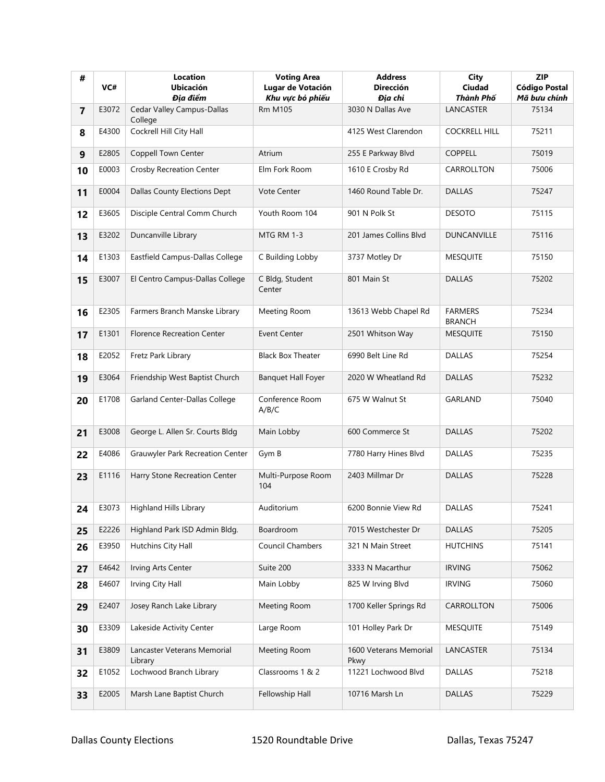| #              | VC#   | Location<br><b>Ubicación</b><br>Địa điểm | <b>Voting Area</b><br>Lugar de Votación<br>Khu vực bỏ phiếu | <b>Address</b><br><b>Dirección</b><br>Địa chỉ | <b>City</b><br>Ciudad<br>Thành Phố | <b>ZIP</b><br><b>Código Postal</b><br>Mã bưu chính |
|----------------|-------|------------------------------------------|-------------------------------------------------------------|-----------------------------------------------|------------------------------------|----------------------------------------------------|
| $\overline{7}$ | E3072 | Cedar Valley Campus-Dallas<br>College    | <b>Rm M105</b>                                              | 3030 N Dallas Ave                             | LANCASTER                          | 75134                                              |
| 8              | E4300 | Cockrell Hill City Hall                  |                                                             | 4125 West Clarendon                           | <b>COCKRELL HILL</b>               | 75211                                              |
| 9              | E2805 | Coppell Town Center                      | Atrium                                                      | 255 E Parkway Blvd                            | COPPELL                            | 75019                                              |
| 10             | E0003 | <b>Crosby Recreation Center</b>          | Elm Fork Room                                               | 1610 E Crosby Rd                              | CARROLLTON                         | 75006                                              |
| 11             | E0004 | Dallas County Elections Dept             | <b>Vote Center</b>                                          | 1460 Round Table Dr.                          | <b>DALLAS</b>                      | 75247                                              |
| 12             | E3605 | Disciple Central Comm Church             | Youth Room 104                                              | 901 N Polk St                                 | <b>DESOTO</b>                      | 75115                                              |
| 13             | E3202 | Duncanville Library                      | <b>MTG RM 1-3</b>                                           | 201 James Collins Blyd                        | <b>DUNCANVILLE</b>                 | 75116                                              |
| 14             | E1303 | Eastfield Campus-Dallas College          | C Building Lobby                                            | 3737 Motley Dr                                | <b>MESQUITE</b>                    | 75150                                              |
| 15             | E3007 | El Centro Campus-Dallas College          | C Bldg, Student<br>Center                                   | 801 Main St                                   | <b>DALLAS</b>                      | 75202                                              |
| 16             | E2305 | Farmers Branch Manske Library            | Meeting Room                                                | 13613 Webb Chapel Rd                          | <b>FARMERS</b><br><b>BRANCH</b>    | 75234                                              |
| 17             | E1301 | <b>Florence Recreation Center</b>        | <b>Event Center</b>                                         | 2501 Whitson Way                              | <b>MESQUITE</b>                    | 75150                                              |
| 18             | E2052 | Fretz Park Library                       | <b>Black Box Theater</b>                                    | 6990 Belt Line Rd                             | <b>DALLAS</b>                      | 75254                                              |
| 19             | E3064 | Friendship West Baptist Church           | <b>Banquet Hall Foyer</b>                                   | 2020 W Wheatland Rd                           | <b>DALLAS</b>                      | 75232                                              |
| 20             | E1708 | Garland Center-Dallas College            | Conference Room<br>A/B/C                                    | 675 W Walnut St                               | GARLAND                            | 75040                                              |
| 21             | E3008 | George L. Allen Sr. Courts Bldg          | Main Lobby                                                  | 600 Commerce St                               | <b>DALLAS</b>                      | 75202                                              |
| 22             | E4086 | Grauwyler Park Recreation Center         | Gym B                                                       | 7780 Harry Hines Blvd                         | <b>DALLAS</b>                      | 75235                                              |
| 23             | E1116 | Harry Stone Recreation Center            | Multi-Purpose Room<br>104                                   | 2403 Millmar Dr                               | <b>DALLAS</b>                      | 75228                                              |
| 24             | E3073 | Highland Hills Library                   | Auditorium                                                  | 6200 Bonnie View Rd                           | <b>DALLAS</b>                      | 75241                                              |
| 25             | E2226 | Highland Park ISD Admin Bldg.            | Boardroom                                                   | 7015 Westchester Dr                           | <b>DALLAS</b>                      | 75205                                              |
| 26             | E3950 | Hutchins City Hall                       | Council Chambers                                            | 321 N Main Street                             | <b>HUTCHINS</b>                    | 75141                                              |
| 27             | E4642 | Irving Arts Center                       | Suite 200                                                   | 3333 N Macarthur                              | <b>IRVING</b>                      | 75062                                              |
| 28             | E4607 | Irving City Hall                         | Main Lobby                                                  | 825 W Irving Blvd                             | <b>IRVING</b>                      | 75060                                              |
| 29             | E2407 | Josey Ranch Lake Library                 | Meeting Room                                                | 1700 Keller Springs Rd                        | CARROLLTON                         | 75006                                              |
| 30             | E3309 | Lakeside Activity Center                 | Large Room                                                  | 101 Holley Park Dr                            | <b>MESQUITE</b>                    | 75149                                              |
| 31             | E3809 | Lancaster Veterans Memorial<br>Library   | Meeting Room                                                | 1600 Veterans Memorial<br>Pkwy                | LANCASTER                          | 75134                                              |
| 32             | E1052 | Lochwood Branch Library                  | Classrooms 1 & 2                                            | 11221 Lochwood Blvd                           | <b>DALLAS</b>                      | 75218                                              |
| 33             | E2005 | Marsh Lane Baptist Church                | Fellowship Hall                                             | 10716 Marsh Ln                                | <b>DALLAS</b>                      | 75229                                              |